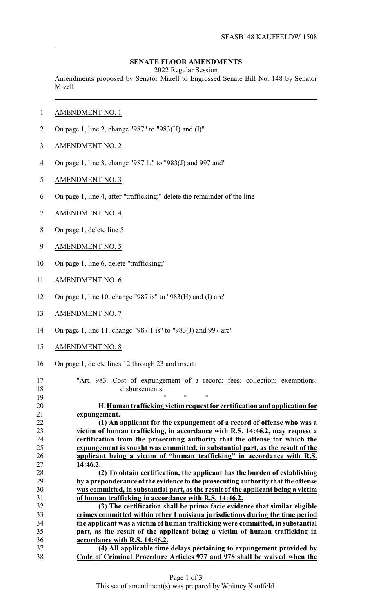## **SENATE FLOOR AMENDMENTS**

2022 Regular Session

Amendments proposed by Senator Mizell to Engrossed Senate Bill No. 148 by Senator Mizell

- AMENDMENT NO. 1
- On page 1, line 2, change "987" to "983(H) and (I)"
- AMENDMENT NO. 2
- On page 1, line 3, change "987.1," to "983(J) and 997 and"
- AMENDMENT NO. 3
- On page 1, line 4, after "trafficking;" delete the remainder of the line
- AMENDMENT NO. 4
- On page 1, delete line 5
- AMENDMENT NO. 5
- 10 On page 1, line 6, delete "trafficking;"
- AMENDMENT NO. 6
- On page 1, line 10, change "987 is" to "983(H) and (I) are"
- AMENDMENT NO. 7
- On page 1, line 11, change "987.1 is" to "983(J) and 997 are"
- AMENDMENT NO. 8
- On page 1, delete lines 12 through 23 and insert:
- "Art. 983. Cost of expungement of a record; fees; collection; exemptions; disbursements

| 19 | $\ast$<br>$\ast$<br>$\ast$                                                        |
|----|-----------------------------------------------------------------------------------|
| 20 | H. Human trafficking victim request for certification and application for         |
| 21 | expungement.                                                                      |
| 22 | (1) An applicant for the expungement of a record of offense who was a             |
| 23 | victim of human trafficking, in accordance with R.S. 14:46.2, may request a       |
| 24 | certification from the prosecuting authority that the offense for which the       |
| 25 | expungement is sought was committed, in substantial part, as the result of the    |
| 26 | applicant being a victim of "human trafficking" in accordance with R.S.           |
| 27 | 14:46.2.                                                                          |
| 28 | (2) To obtain certification, the applicant has the burden of establishing         |
| 29 | by a preponderance of the evidence to the prosecuting authority that the offense  |
| 30 | was committed, in substantial part, as the result of the applicant being a victim |
| 31 | of human trafficking in accordance with R.S. 14:46.2.                             |
| 32 | (3) The certification shall be prima facie evidence that similar eligible         |
| 33 | crimes committed within other Louisiana jurisdictions during the time period      |
| 34 | the applicant was a victim of human trafficking were committed, in substantial    |
| 35 | part, as the result of the applicant being a victim of human trafficking in       |
| 36 | accordance with R.S. 14:46.2.                                                     |
| 37 | (4) All applicable time delays pertaining to expungement provided by              |
| 38 | Code of Criminal Procedure Articles 977 and 978 shall be waived when the          |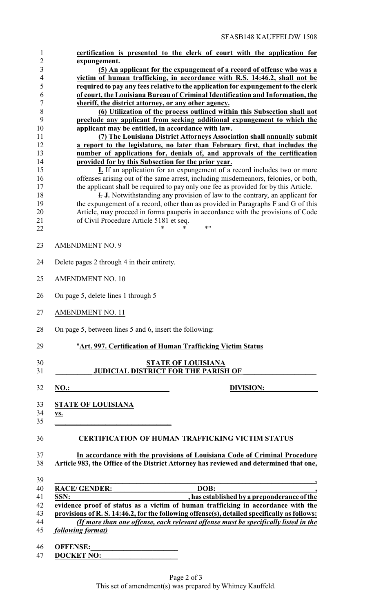SFASB148 KAUFFELDW 1508

|                               | 1719 D 1 TO 1 Y 1 O 1 1 D D D 1 W                                                                                                                                           |  |  |
|-------------------------------|-----------------------------------------------------------------------------------------------------------------------------------------------------------------------------|--|--|
| $\mathbf{1}$                  | certification is presented to the clerk of court with the application for                                                                                                   |  |  |
| $\overline{c}$                | expungement.                                                                                                                                                                |  |  |
| 3<br>$\overline{\mathcal{L}}$ | (5) An applicant for the expungement of a record of offense who was a<br>victim of human trafficking, in accordance with R.S. 14:46.2, shall not be                         |  |  |
| 5                             | required to pay any fees relative to the application for expungement to the clerk                                                                                           |  |  |
| 6                             | of court, the Louisiana Bureau of Criminal Identification and Information, the                                                                                              |  |  |
| $\overline{7}$                | sheriff, the district attorney, or any other agency.                                                                                                                        |  |  |
| 8                             | (6) Utilization of the process outlined within this Subsection shall not                                                                                                    |  |  |
| 9                             | preclude any applicant from seeking additional expungement to which the                                                                                                     |  |  |
| 10                            | applicant may be entitled, in accordance with law.                                                                                                                          |  |  |
| 11                            | (7) The Louisiana District Attorneys Association shall annually submit                                                                                                      |  |  |
| 12                            | a report to the legislature, no later than February first, that includes the                                                                                                |  |  |
| 13                            | number of applications for, denials of, and approvals of the certification                                                                                                  |  |  |
| 14                            | provided for by this Subsection for the prior year.                                                                                                                         |  |  |
| 15                            | <b>I.</b> If an application for an expungement of a record includes two or more                                                                                             |  |  |
| 16                            | offenses arising out of the same arrest, including misdemeanors, felonies, or both,                                                                                         |  |  |
| 17<br>18                      | the applicant shall be required to pay only one fee as provided for by this Article.<br><b>H. J.</b> Notwithstanding any provision of law to the contrary, an applicant for |  |  |
| 19                            | the expungement of a record, other than as provided in Paragraphs F and G of this                                                                                           |  |  |
| 20                            | Article, may proceed in forma pauperis in accordance with the provisions of Code                                                                                            |  |  |
| 21                            | of Civil Procedure Article 5181 et seq.                                                                                                                                     |  |  |
| 22                            | * !!<br>$\ast$<br>*                                                                                                                                                         |  |  |
|                               |                                                                                                                                                                             |  |  |
| 23                            | <b>AMENDMENT NO. 9</b>                                                                                                                                                      |  |  |
| 24                            | Delete pages 2 through 4 in their entirety.                                                                                                                                 |  |  |
| 25                            | <b>AMENDMENT NO. 10</b>                                                                                                                                                     |  |  |
| 26                            | On page 5, delete lines 1 through 5                                                                                                                                         |  |  |
| 27                            | <b>AMENDMENT NO. 11</b>                                                                                                                                                     |  |  |
| 28                            | On page 5, between lines 5 and 6, insert the following:                                                                                                                     |  |  |
| 29                            | "Art. 997. Certification of Human Trafficking Victim Status                                                                                                                 |  |  |
| 30<br>31                      | <b>STATE OF LOUISIANA</b><br><b>JUDICIAL DISTRICT FOR THE PARISH OF</b>                                                                                                     |  |  |
|                               |                                                                                                                                                                             |  |  |
| 32                            | <b>NO.:</b><br><b>DIVISION:</b>                                                                                                                                             |  |  |
| 33                            | <b>STATE OF LOUISIANA</b>                                                                                                                                                   |  |  |
| 34                            | <u>vs.</u>                                                                                                                                                                  |  |  |
| 35                            |                                                                                                                                                                             |  |  |
| 36                            |                                                                                                                                                                             |  |  |
|                               | <b>CERTIFICATION OF HUMAN TRAFFICKING VICTIM STATUS</b>                                                                                                                     |  |  |
| 37                            | In accordance with the provisions of Louisiana Code of Criminal Procedure                                                                                                   |  |  |
| 38                            | Article 983, the Office of the District Attorney has reviewed and determined that one,                                                                                      |  |  |
|                               |                                                                                                                                                                             |  |  |
| 39                            |                                                                                                                                                                             |  |  |
| 40                            | <b>RACE/GENDER:</b><br>DOB:<br>SSN:                                                                                                                                         |  |  |
| 41<br>42                      | , has established by a preponderance of the<br>evidence proof of status as a victim of human trafficking in accordance with the                                             |  |  |
| 43                            | provisions of R. S. 14:46.2, for the following offense(s), detailed specifically as follows:                                                                                |  |  |
| 44                            | (If more than one offense, each relevant offense must be specifically listed in the                                                                                         |  |  |
| 45                            | following format)                                                                                                                                                           |  |  |
|                               |                                                                                                                                                                             |  |  |
| 46                            | <b>OFFENSE:</b>                                                                                                                                                             |  |  |
| 47                            | <b>DOCKET NO:</b>                                                                                                                                                           |  |  |